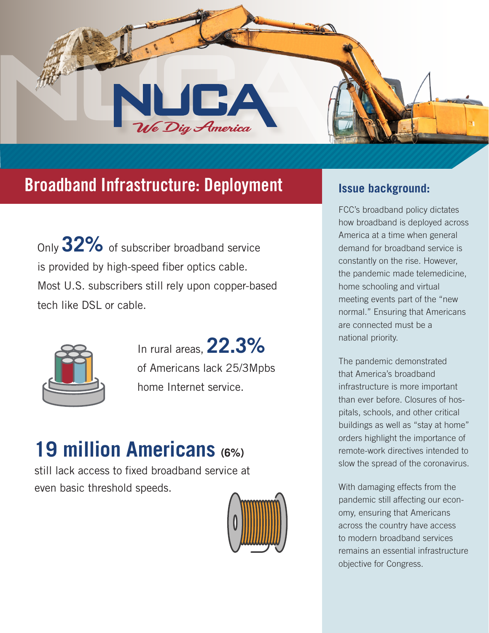

# **Broadband Infrastructure: Deployment Interpreterate Issue background:**

Only **32%** of subscriber broadband service is provided by high-speed fiber optics cable. Most U.S. subscribers still rely upon copper-based tech like DSL or cable.



In rural areas, **22.3%**  of Americans lack 25/3Mpbs home Internet service.

# **19 million Americans (6%)**

still lack access to fixed broadband service at even basic threshold speeds.



FCC's broadband policy dictates how broadband is deployed across America at a time when general demand for broadband service is constantly on the rise. However, the pandemic made telemedicine, home schooling and virtual meeting events part of the "new normal." Ensuring that Americans are connected must be a national priority.

The pandemic demonstrated that America's broadband infrastructure is more important than ever before. Closures of hospitals, schools, and other critical buildings as well as "stay at home" orders highlight the importance of remote-work directives intended to slow the spread of the coronavirus.

With damaging effects from the pandemic still affecting our economy, ensuring that Americans across the country have access to modern broadband services remains an essential infrastructure objective for Congress.